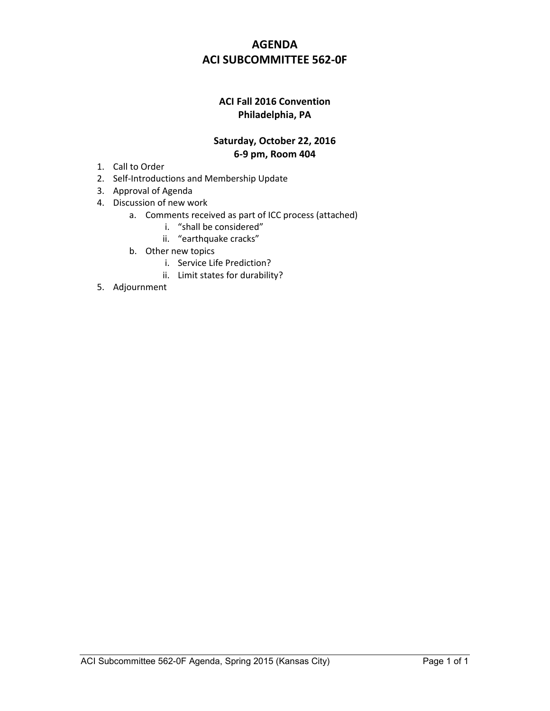# **AGENDA ACI SUBCOMMITTEE 562-0F**

## **ACI Fall 2016 Convention Philadelphia, PA**

### **Saturday, October 22, 2016 6-9 pm, Room 404**

- 1. Call to Order
- 2. Self-Introductions and Membership Update
- 3. Approval of Agenda
- 4. Discussion of new work
	- a. Comments received as part of ICC process (attached)
		- i. "shall be considered"
		- ii. "earthquake cracks"
	- b. Other new topics
		- i. Service Life Prediction?
		- ii. Limit states for durability?
- 5. Adjournment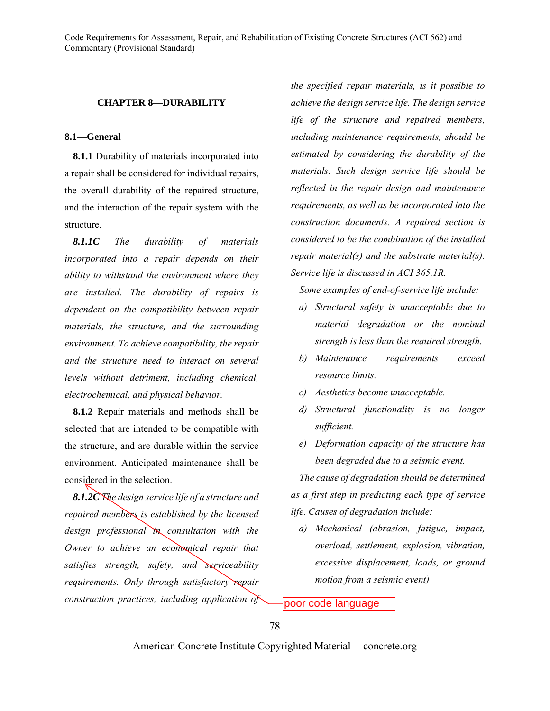#### **CHAPTER 8—DURABILITY**

#### **8.1—General**

**8.1.1** Durability of materials incorporated into a repair shall be considered for individual repairs, the overall durability of the repaired structure, and the interaction of the repair system with the structure.

*8.1.1C The durability of materials incorporated into a repair depends on their ability to withstand the environment where they are installed. The durability of repairs is dependent on the compatibility between repair materials, the structure, and the surrounding environment. To achieve compatibility, the repair and the structure need to interact on several levels without detriment, including chemical, electrochemical, and physical behavior.* 

**8.1.2** Repair materials and methods shall be selected that are intended to be compatible with the structure, and are durable within the service environment. Anticipated maintenance shall be considered in the selection.

*8.1.2C The design service life of a structure and repaired members is established by the licensed design professional in consultation with the Owner to achieve an economical repair that satisfies strength, safety, and serviceability requirements. Only through satisfactory repair construction practices, including application of* 

*the specified repair materials, is it possible to achieve the design service life. The design service life of the structure and repaired members, including maintenance requirements, should be estimated by considering the durability of the materials. Such design service life should be reflected in the repair design and maintenance requirements, as well as be incorporated into the construction documents. A repaired section is considered to be the combination of the installed repair material(s) and the substrate material(s). Service life is discussed in ACI 365.1R.* 

*Some examples of end-of-service life include:* 

- *a) Structural safety is unacceptable due to material degradation or the nominal strength is less than the required strength.*
- *b) Maintenance requirements exceed resource limits.*
- *c) Aesthetics become unacceptable.*
- *d) Structural functionality is no longer sufficient.*
- *e) Deformation capacity of the structure has been degraded due to a seismic event.*

*The cause of degradation should be determined as a first step in predicting each type of service life. Causes of degradation include:* 

*a) Mechanical (abrasion, fatigue, impact, overload, settlement, explosion, vibration, excessive displacement, loads, or ground motion from a seismic event)* 

poor code language

78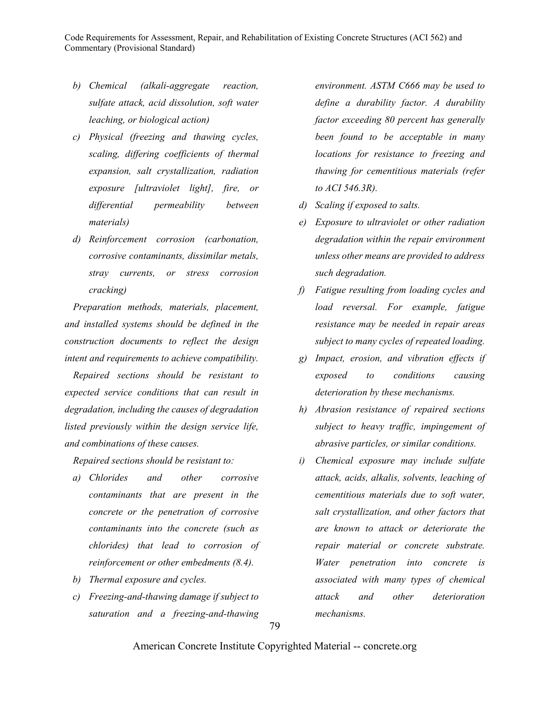- *b) Chemical (alkali-aggregate reaction, sulfate attack, acid dissolution, soft water leaching, or biological action)*
- *c) Physical (freezing and thawing cycles, scaling, differing coefficients of thermal expansion, salt crystallization, radiation exposure [ultraviolet light], fire, or differential permeability between materials)*
- *d) Reinforcement corrosion (carbonation, corrosive contaminants, dissimilar metals, stray currents, or stress corrosion cracking)*

*Preparation methods, materials, placement, and installed systems should be defined in the construction documents to reflect the design intent and requirements to achieve compatibility.* 

*Repaired sections should be resistant to expected service conditions that can result in degradation, including the causes of degradation listed previously within the design service life, and combinations of these causes.* 

*Repaired sections should be resistant to:* 

- *a) Chlorides and other corrosive contaminants that are present in the concrete or the penetration of corrosive contaminants into the concrete (such as chlorides) that lead to corrosion of reinforcement or other embedments (8.4).*
- *b) Thermal exposure and cycles.*
- *c) Freezing-and-thawing damage if subject to saturation and a freezing-and-thawing*

*environment. ASTM C666 may be used to define a durability factor. A durability factor exceeding 80 percent has generally been found to be acceptable in many locations for resistance to freezing and thawing for cementitious materials (refer to ACI 546.3R).* 

- *d) Scaling if exposed to salts.*
- *e) Exposure to ultraviolet or other radiation degradation within the repair environment unless other means are provided to address such degradation.*
- *f) Fatigue resulting from loading cycles and load reversal. For example, fatigue resistance may be needed in repair areas subject to many cycles of repeated loading.*
- *g) Impact, erosion, and vibration effects if exposed to conditions causing deterioration by these mechanisms.*
- *h) Abrasion resistance of repaired sections subject to heavy traffic, impingement of abrasive particles, or similar conditions.*
- *i) Chemical exposure may include sulfate attack, acids, alkalis, solvents, leaching of cementitious materials due to soft water, salt crystallization, and other factors that are known to attack or deteriorate the repair material or concrete substrate. Water penetration into concrete is associated with many types of chemical attack and other deterioration mechanisms.*

79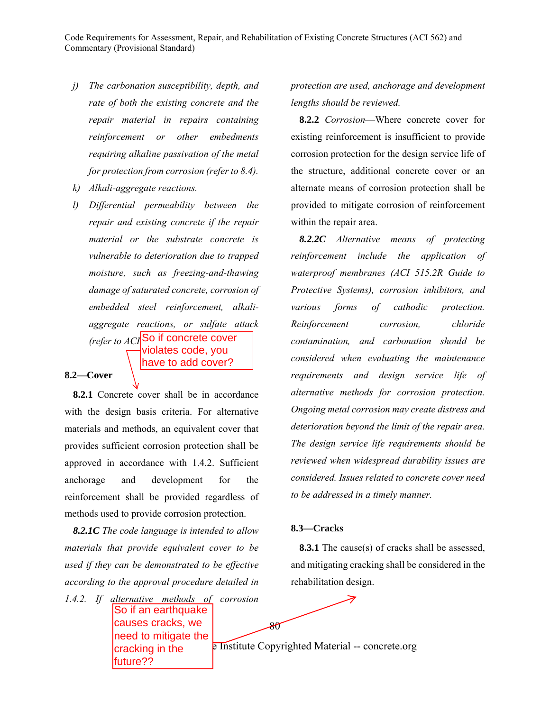- *j) The carbonation susceptibility, depth, and rate of both the existing concrete and the repair material in repairs containing reinforcement or other embedments requiring alkaline passivation of the metal for protection from corrosion (refer to 8.4).*
- *k) Alkali-aggregate reactions.*
- *l) Differential permeability between the repair and existing concrete if the repair material or the substrate concrete is vulnerable to deterioration due to trapped moisture, such as freezing-and-thawing damage of saturated concrete, corrosion of embedded steel reinforcement, alkaliaggregate reactions, or sulfate attack (refer to ACI* So if concrete cover violates code, you have to add cover?

### **8.2—Cover**

**8.2.1** Concrete cover shall be in accordance with the design basis criteria. For alternative materials and methods, an equivalent cover that provides sufficient corrosion protection shall be approved in accordance with 1.4.2. Sufficient anchorage and development for the reinforcement shall be provided regardless of methods used to provide corrosion protection.

*8.2.1C The code language is intended to allow materials that provide equivalent cover to be used if they can be demonstrated to be effective according to the approval procedure detailed in* 

*1.4.2. If alternative methods of corrosion*  So if an earthquake causes cracks, we need to mitigate the cracking in the future??

*protection are used, anchorage and development lengths should be reviewed.* 

**8.2.2** *Corrosion*—Where concrete cover for existing reinforcement is insufficient to provide corrosion protection for the design service life of the structure, additional concrete cover or an alternate means of corrosion protection shall be provided to mitigate corrosion of reinforcement within the repair area.

*8.2.2C Alternative means of protecting reinforcement include the application of waterproof membranes (ACI 515.2R Guide to Protective Systems), corrosion inhibitors, and various forms of cathodic protection. Reinforcement corrosion, chloride contamination, and carbonation should be considered when evaluating the maintenance requirements and design service life of alternative methods for corrosion protection. Ongoing metal corrosion may create distress and deterioration beyond the limit of the repair area. The design service life requirements should be reviewed when widespread durability issues are considered. Issues related to concrete cover need to be addressed in a timely manner.* 

#### **8.3—Cracks**

**8.3.1** The cause(s) of cracks shall be assessed, and mitigating cracking shall be considered in the rehabilitation design.

**E** Institute Copyrighted Material -- concrete.org

 $8\sigma$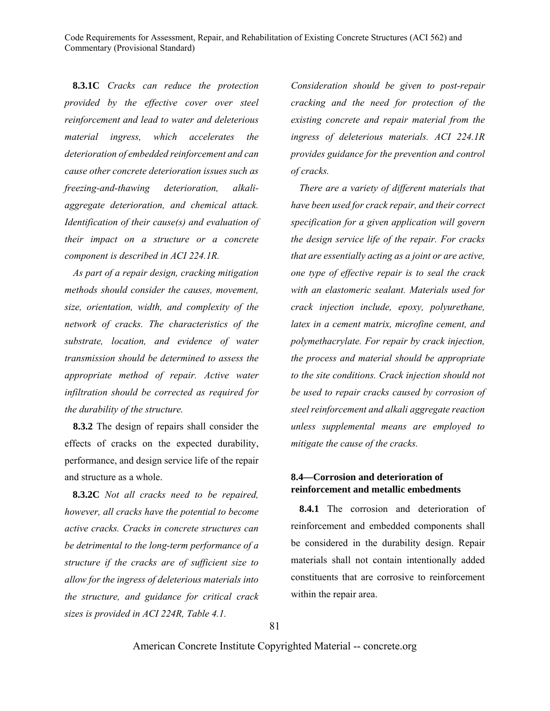**8.3.1C** *Cracks can reduce the protection provided by the effective cover over steel reinforcement and lead to water and deleterious material ingress, which accelerates the deterioration of embedded reinforcement and can cause other concrete deterioration issues such as freezing-and-thawing deterioration, alkaliaggregate deterioration, and chemical attack. Identification of their cause(s) and evaluation of their impact on a structure or a concrete component is described in ACI 224.1R.*

*As part of a repair design, cracking mitigation methods should consider the causes, movement, size, orientation, width, and complexity of the network of cracks. The characteristics of the substrate, location, and evidence of water transmission should be determined to assess the appropriate method of repair. Active water infiltration should be corrected as required for the durability of the structure.* 

**8.3.2** The design of repairs shall consider the effects of cracks on the expected durability, performance, and design service life of the repair and structure as a whole.

**8.3.2C** *Not all cracks need to be repaired, however, all cracks have the potential to become active cracks. Cracks in concrete structures can be detrimental to the long-term performance of a structure if the cracks are of sufficient size to allow for the ingress of deleterious materials into the structure, and guidance for critical crack sizes is provided in ACI 224R, Table 4.1.* 

*Consideration should be given to post-repair cracking and the need for protection of the existing concrete and repair material from the ingress of deleterious materials. ACI 224.1R provides guidance for the prevention and control of cracks.* 

*There are a variety of different materials that have been used for crack repair, and their correct specification for a given application will govern the design service life of the repair. For cracks that are essentially acting as a joint or are active, one type of effective repair is to seal the crack with an elastomeric sealant. Materials used for crack injection include, epoxy, polyurethane, latex in a cement matrix, microfine cement, and polymethacrylate. For repair by crack injection, the process and material should be appropriate to the site conditions. Crack injection should not be used to repair cracks caused by corrosion of steel reinforcement and alkali aggregate reaction unless supplemental means are employed to mitigate the cause of the cracks.* 

### **8.4—Corrosion and deterioration of reinforcement and metallic embedments**

**8.4.1** The corrosion and deterioration of reinforcement and embedded components shall be considered in the durability design. Repair materials shall not contain intentionally added constituents that are corrosive to reinforcement within the repair area.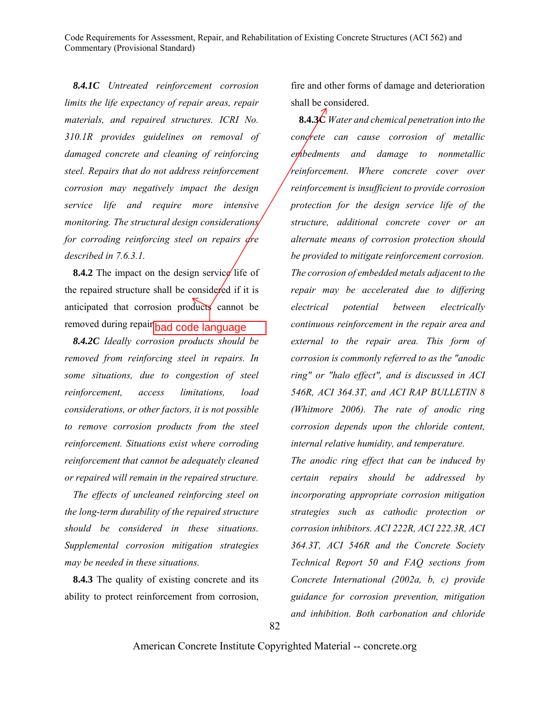*8.4.1C Untreated reinforcement corrosion limits the life expectancy of repair areas, repair materials, and repaired structures. ICRI No. 310.1R provides guidelines on removal of damaged concrete and cleaning of reinforcing steel. Repairs that do not address reinforcement corrosion may negatively impact the design service life and require more intensive monitoring. The structural design considerations for corroding reinforcing steel on repairs dre described in 7.6.3.1.* 

**8.4.2** The impact on the design service life of the repaired structure shall be considered if it is anticipated that corrosion products cannot be removed during repair **bad code language** 

*8.4.2C Ideally corrosion products should be removed from reinforcing steel in repairs. In some situations, due to congestion of steel reinforcement, access limitations, load considerations, or other factors, it is not possible to remove corrosion products from the steel reinforcement. Situations exist where corroding reinforcement that cannot be adequately cleaned or repaired will remain in the repaired structure.*

*The effects of uncleaned reinforcing steel on the long-term durability of the repaired structure should be considered in these situations. Supplemental corrosion mitigation strategies may be needed in these situations.* 

**8.4.3** The quality of existing concrete and its ability to protect reinforcement from corrosion,

fire and other forms of damage and deterioration shall be considered.

**8.4.3C** *Water and chemical penetration into the concrete can cause corrosion of metallic embedments and damage to nonmetallic reinforcement. Where concrete cover over reinforcement is insufficient to provide corrosion protection for the design service life of the structure, additional concrete cover or an alternate means of corrosion protection should be provided to mitigate reinforcement corrosion. The corrosion of embedded metals adjacent to the repair may be accelerated due to differing electrical potential between electrically continuous reinforcement in the repair area and external to the repair area. This form of corrosion is commonly referred to as the "anodic ring" or "halo effect", and is discussed in ACI 546R, ACI 364.3T, and ACI RAP BULLETIN 8 (Whitmore 2006). The rate of anodic ring corrosion depends upon the chloride content, internal relative humidity, and temperature.* 

*The anodic ring effect that can be induced by certain repairs should be addressed by incorporating appropriate corrosion mitigation strategies such as cathodic protection or corrosion inhibitors. ACI 222R, ACI 222.3R, ACI 364.3T, ACI 546R and the Concrete Society Technical Report 50 and FAQ sections from Concrete International (2002a, b, c) provide guidance for corrosion prevention, mitigation and inhibition. Both carbonation and chloride*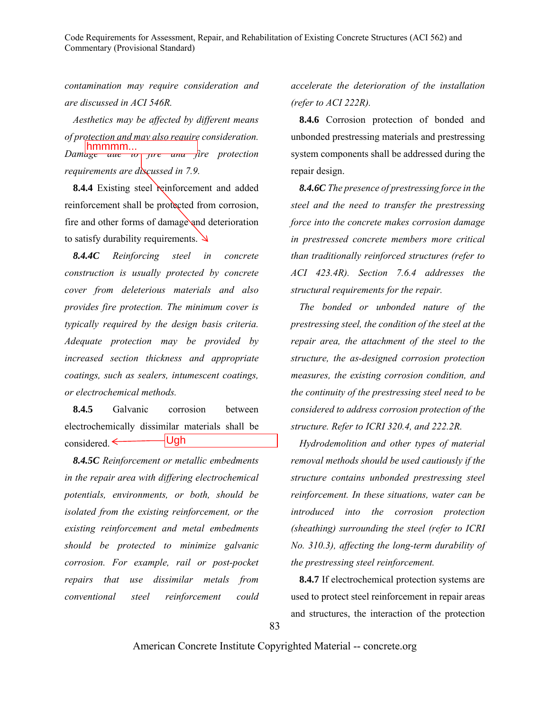*contamination may require consideration and are discussed in ACI 546R.* 

*Aesthetics may be affected by different means of protection and may also require consideration. Damage and to fire and fire protection requirements are discussed in 7.9.*

**8.4.4** Existing steel reinforcement and added reinforcement shall be protected from corrosion, fire and other forms of damage and deterioration to satisfy durability requirements.  $\Box$ 

*8.4.4C Reinforcing steel in concrete construction is usually protected by concrete cover from deleterious materials and also provides fire protection. The minimum cover is typically required by the design basis criteria. Adequate protection may be provided by increased section thickness and appropriate coatings, such as sealers, intumescent coatings, or electrochemical methods.* 

**8.4.5** Galvanic corrosion between electrochemically dissimilar materials shall be considered.  $\leftarrow$ Ugh

*8.4.5C Reinforcement or metallic embedments in the repair area with differing electrochemical potentials, environments, or both, should be isolated from the existing reinforcement, or the existing reinforcement and metal embedments should be protected to minimize galvanic corrosion. For example, rail or post-pocket repairs that use dissimilar metals from conventional steel reinforcement could*  From the protection of the reduced by the protection of the protection of the Existing strengths and Figure and  $\theta$ . The interaction of the protection of the protection of the protection of the protection of the protecti

*accelerate the deterioration of the installation (refer to ACI 222R).* 

**8.4.6** Corrosion protection of bonded and unbonded prestressing materials and prestressing system components shall be addressed during the repair design.

*8.4.6C The presence of prestressing force in the steel and the need to transfer the prestressing force into the concrete makes corrosion damage in prestressed concrete members more critical than traditionally reinforced structures (refer to ACI 423.4R). Section 7.6.4 addresses the structural requirements for the repair.* 

*The bonded or unbonded nature of the prestressing steel, the condition of the steel at the repair area, the attachment of the steel to the structure, the as-designed corrosion protection measures, the existing corrosion condition, and the continuity of the prestressing steel need to be considered to address corrosion protection of the structure. Refer to ICRI 320.4, and 222.2R.* 

*Hydrodemolition and other types of material removal methods should be used cautiously if the structure contains unbonded prestressing steel reinforcement. In these situations, water can be introduced into the corrosion protection (sheathing) surrounding the steel (refer to ICRI No. 310.3), affecting the long-term durability of the prestressing steel reinforcement.* 

**8.4.7** If electrochemical protection systems are used to protect steel reinforcement in repair areas

83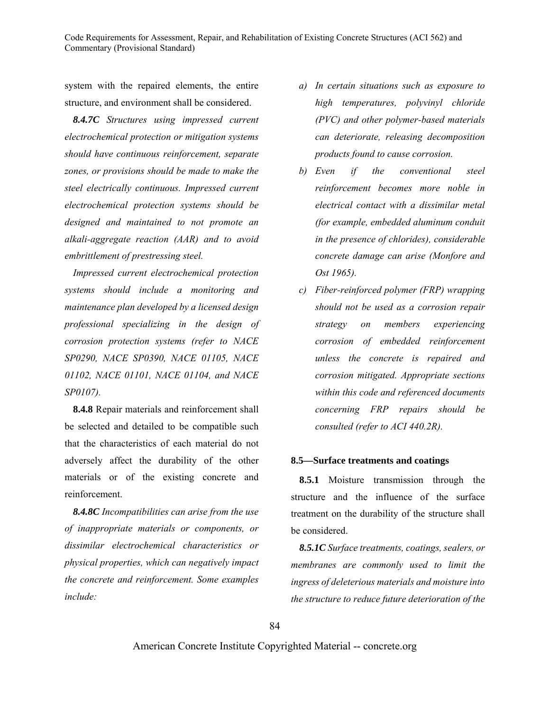system with the repaired elements, the entire structure, and environment shall be considered.

*8.4.7C Structures using impressed current electrochemical protection or mitigation systems should have continuous reinforcement, separate zones, or provisions should be made to make the steel electrically continuous. Impressed current electrochemical protection systems should be designed and maintained to not promote an alkali-aggregate reaction (AAR) and to avoid embrittlement of prestressing steel.* 

*Impressed current electrochemical protection systems should include a monitoring and maintenance plan developed by a licensed design professional specializing in the design of corrosion protection systems (refer to NACE SP0290, NACE SP0390, NACE 01105, NACE 01102, NACE 01101, NACE 01104, and NACE SP0107).* 

**8.4.8** Repair materials and reinforcement shall be selected and detailed to be compatible such that the characteristics of each material do not adversely affect the durability of the other materials or of the existing concrete and reinforcement.

*8.4.8C Incompatibilities can arise from the use of inappropriate materials or components, or dissimilar electrochemical characteristics or physical properties, which can negatively impact the concrete and reinforcement. Some examples include:* 

- *a) In certain situations such as exposure to high temperatures, polyvinyl chloride (PVC) and other polymer-based materials can deteriorate, releasing decomposition products found to cause corrosion.*
- *b) Even if the conventional steel reinforcement becomes more noble in electrical contact with a dissimilar metal (for example, embedded aluminum conduit in the presence of chlorides), considerable concrete damage can arise (Monfore and Ost 1965).*
- *c) Fiber-reinforced polymer (FRP) wrapping should not be used as a corrosion repair strategy on members experiencing corrosion of embedded reinforcement unless the concrete is repaired and corrosion mitigated. Appropriate sections within this code and referenced documents concerning FRP repairs should be consulted (refer to ACI 440.2R).*

#### **8.5—Surface treatments and coatings**

**8.5.1** Moisture transmission through the structure and the influence of the surface treatment on the durability of the structure shall be considered.

*8.5.1C Surface treatments, coatings, sealers, or membranes are commonly used to limit the ingress of deleterious materials and moisture into the structure to reduce future deterioration of the*